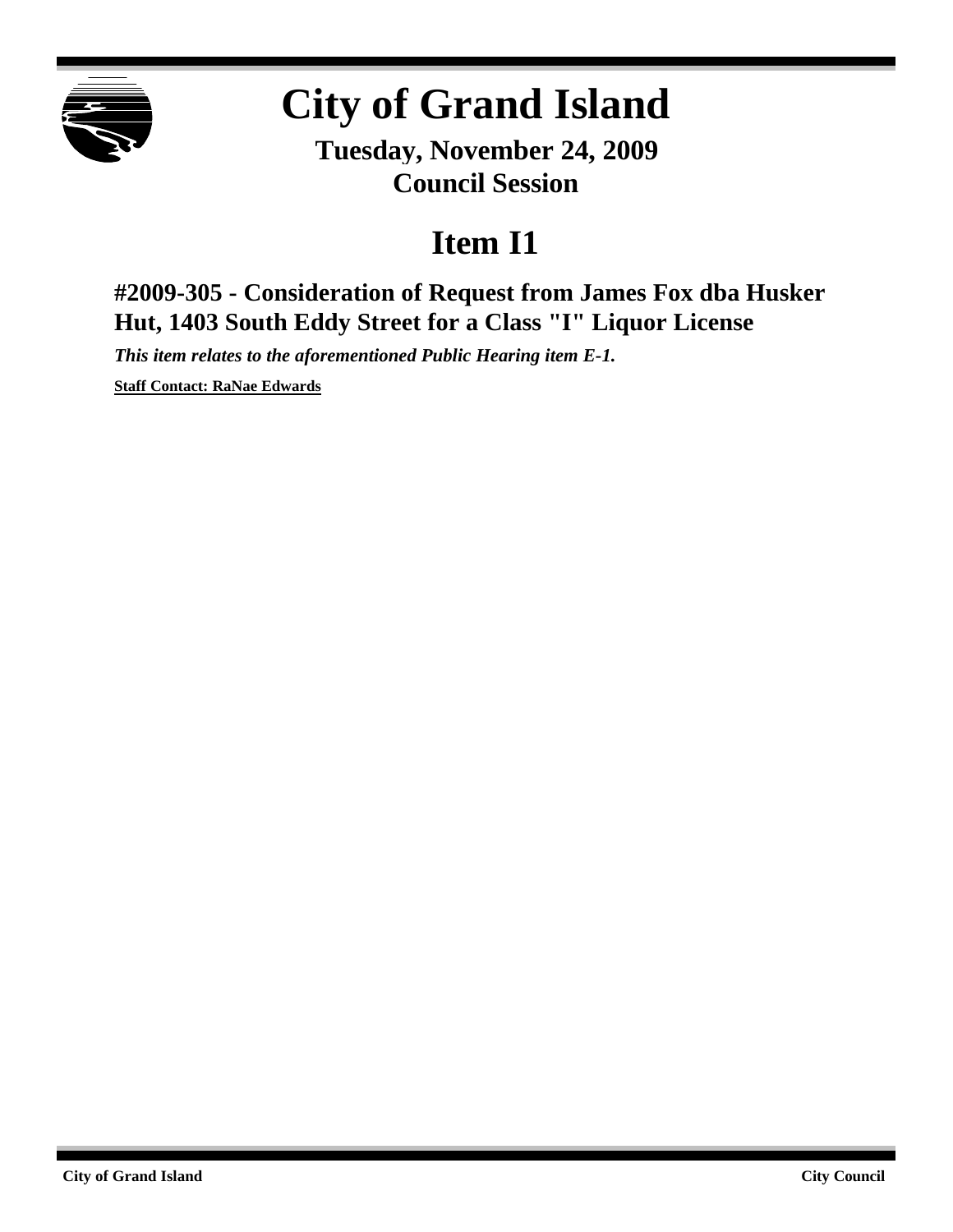

## **City of Grand Island**

**Tuesday, November 24, 2009 Council Session**

## **Item I1**

**#2009-305 - Consideration of Request from James Fox dba Husker Hut, 1403 South Eddy Street for a Class "I" Liquor License**

*This item relates to the aforementioned Public Hearing item E-1.*

**Staff Contact: RaNae Edwards**